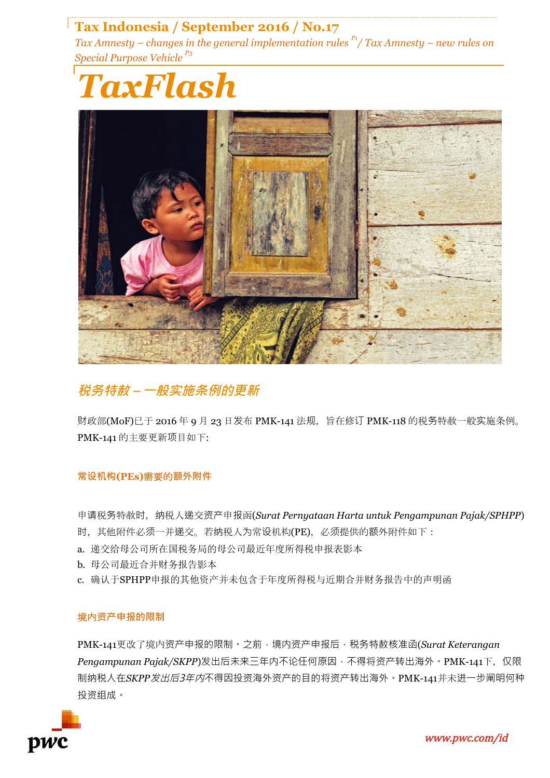# **Tax Indonesia / September 2016 / No.17**

*Tax Amnesty – changes in the general implementation rules P1/ Tax Amnesty – new rules on Special Purpose Vehicle P3*





### **税务特赦 – 一般实施条例的更新**

财政部(MoF)已于 2016 年 9 月 23 日发布 PMK-141 法规,旨在修订 PMK-118 的税务特赦一般实施条例。 PMK-141 的主要更新项目如下:

### **常设机构(PEs)**需要的**额外附件**

申请税务特赦时,纳税人递交资产申报函(*Surat Pernyataan Harta untuk Pengampunan Pajak/SPHPP*) 时, 其他附件必须一并递交。若纳税人为常设机构(PE), 必须提供的额外附件如下:

- a. 递交给母公司所在国税务局的母公司最近年度所得税申报表影本
- b. 母公司最近合并财务报告影本
- c. 确认于SPHPP申报的其他资产并未包含于年度所得税与近期合并财务报告中的声明函

### 境内**资产申报的限制**

PMK-141更改了境内资产申报的限制。之前,境内资产申报后,税务特赦核准函(*Surat Keterangan* Pengampunan Pajak/SKPP)发出后未来三年内不论任何原因,不得将资产转出海外。PMK-141下, 仅限 制纳税人在*SKPP*发出后3年内不得因投资海外资产的目的将资产转出海外。PMK-141并未进一步阐明何种 投资组成。

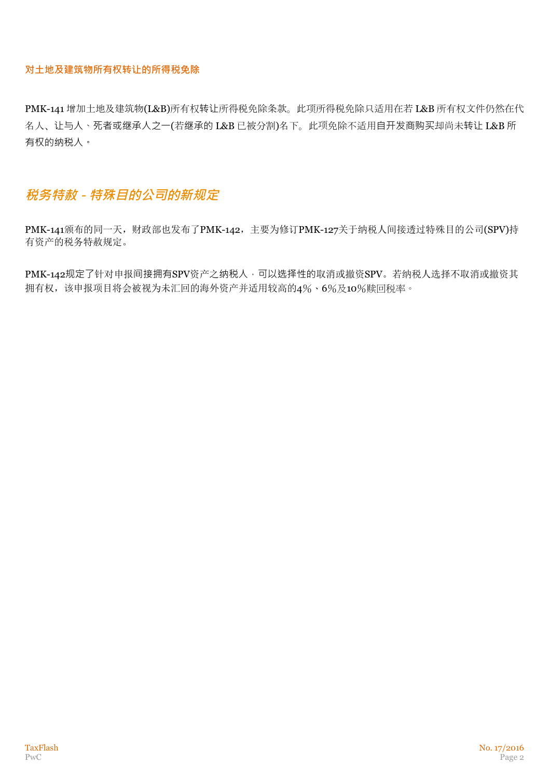### **对土地及建筑物所有权转让的所得税免除**

PMK-141 增加土地及建筑物(L&B)所有权转让所得税免除条款。此项所得税免除只适用在若 L&B 所有权文件仍然在代 名人、让与人、死者或继承人之一(若继承的 L&B 已被分割)名下。此项免除不适用自开发商购买却尚未转让 L&B 所 有权的纳税人。

## **税务特赦 - 特殊目的公司的新规定**

PMK-141颁布的同一天,财政部也发布了PMK-142, 主要为修订PMK-127关于纳税人间接透过特殊目的公司(SPV)持 有资产的税务特赦规定。

PMK-142规定了针对申报间接拥有SPV资产之纳税人,可以选择性的取消或撤资SPV。若纳税人选择不取消或撤资其 拥有权,该申报项目将会被视为未汇回的海外资产并适用较高的4%、6%及10%赎回税率。